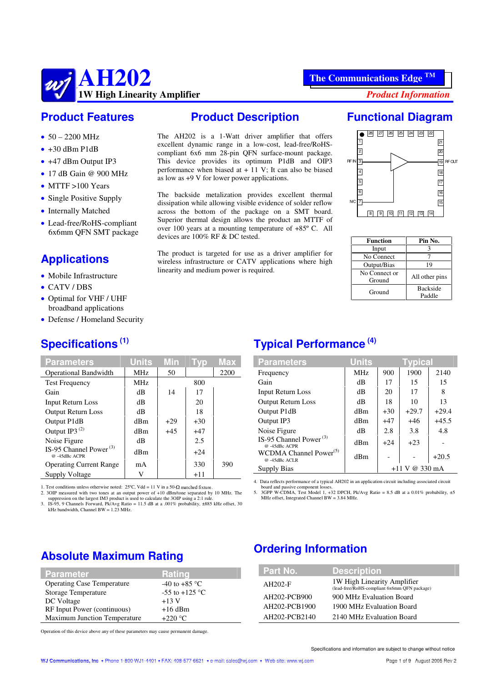

#### **Product Features**

- $\bullet$  50 2200 MHz
- $\bullet$  +30 dBm P1dB
- +47 dBm Output IP3
- $\bullet$  17 dB Gain @ 900 MHz
- $\bullet$  MTTF >100 Years
- Single Positive Supply
- Internally Matched
- Lead-free/RoHS-compliant 6x6mm QFN SMT package

# **Applications**

- $\bullet$  Mobile Infrastructure
- CATV/DBS
- Optimal for VHF / UHF broadband applications
- Defense / Homeland Security

# **Specifications (1)**

| <b>Parameters</b>                             | <b>Units</b> | <b>Min</b> | <b>TVD</b> | Max  |
|-----------------------------------------------|--------------|------------|------------|------|
| <b>Operational Bandwidth</b>                  | <b>MHz</b>   | 50         |            | 2200 |
| <b>Test Frequency</b>                         | <b>MHz</b>   |            | 800        |      |
| Gain                                          | dВ           | 14         | 17         |      |
| <b>Input Return Loss</b>                      | dВ           |            | 20         |      |
| <b>Output Return Loss</b>                     | dВ           |            | 18         |      |
| Output P1dB                                   | dBm          | $+29$      | $+30$      |      |
| Output IP3 <sup>(2)</sup>                     | dBm          | $+45$      | $+47$      |      |
| Noise Figure                                  | dВ           |            | 2.5        |      |
| IS-95 Channel Power $(3)$<br>$@ -45$ dBc ACPR | dBm          |            | $+24$      |      |
| <b>Operating Current Range</b>                | mA           |            | 330        | 390  |
| Supply Voltage                                | V            |            | $+11$      |      |

1. Test conditions unless otherwise noted:  $25^{\circ}$ C, Vdd = 11 V in a 50- $\Omega$  matched fixture.

2. 3OIP measured with two tones at an output power of +10 dBm/tone separated by 10 MHz. The

suppression on the largest IM3 product is used to calculate the 3OIP using a 2:1 rule. 3. IS-95, 9 Channels Forward, Pk/Avg Ratio = 11.5 dB at a .001% probability, ±885 kHz offset, 30 kHz bandwidth, Channel BW = 1.23 MHz.

#### **Product Description**

The AH202 is a 1-Watt driver amplifier that offers excellent dynamic range in a low-cost, lead-free/RoHScompliant 6x6 mm 28-pin QFN surface-mount package. This device provides its optimum P1dB and OIP3 performance when biased at + 11 V; It can also be biased as low as +9 V for lower power applications.

The backside metalization provides excellent thermal dissipation while allowing visible evidence of solder reflow across the bottom of the package on a SMT board. Superior thermal design allows the product an MTTF of over 100 years at a mounting temperature of +85º C. All devices are 100% RF & DC tested.

The product is targeted for use as a driver amplifier for wireless infrastructure or CATV applications where high linearity and medium power is required.

### **Functional Diagram**



| Function      | Pin No.         |
|---------------|-----------------|
| Input         | 3               |
| No Connect    |                 |
| Output/Bias   | 19              |
| No Connect or | All other pins  |
| Ground        |                 |
| Ground        | <b>Backside</b> |
|               | Paddle          |

# **Typical Performance (4)**

| <b>Parameters</b>                                  | <b>Units</b> |       | Tvpical           |         |
|----------------------------------------------------|--------------|-------|-------------------|---------|
| Frequency                                          | <b>MHz</b>   | 900   | 1900              | 2140    |
| Gain                                               | dВ           | 17    | 15                | 15      |
| <b>Input Return Loss</b>                           | dВ           | 20    | 17                | 8       |
| <b>Output Return Loss</b>                          | dВ           | 18    | 10                | 13      |
| Output P1dB                                        | dBm          | $+30$ | $+29.7$           | $+29.4$ |
| Output IP3                                         | dBm          | $+47$ | $+46$             | $+45.5$ |
| Noise Figure                                       | dВ           | 2.8   | 3.8               | 4.8     |
| IS-95 Channel Power <sup>(3)</sup><br>@-45dBc ACPR | dBm          | $+24$ | $+23$             |         |
| WCDMA Channel Power <sup>(5)</sup><br>@-45dBc ACLR | dBm          |       |                   | $+20.5$ |
| Supply Bias                                        |              |       | @330mA<br>$+11$ V |         |

4. Data reflects performance of a typical AH202 in an application circuit including associated circuit

board and passive component losses. 5. 3GPP W-CDMA, Test Model 1, +32 DPCH, Pk/Avg Ratio = 8.5 dB at a 0.01% probability, ±5 MHz offset, Integrated Channel BW = 3.84 MHz.

# **Absolute Maximum Rating**

| <b>Parameter</b>                  | Rating                          |
|-----------------------------------|---------------------------------|
| <b>Operating Case Temperature</b> | -40 to +85 $\mathrm{^{\circ}C}$ |
| Storage Temperature               | -55 to +125 $^{\circ}$ C        |
| DC Voltage                        | $+13V$                          |
| RF Input Power (continuous)       | $+16$ dBm                       |
| Maximum Junction Temperature      | $+220^{\circ}$ C                |

# **Ordering Information**

| Part No.      | <b>Description</b>                                                          |
|---------------|-----------------------------------------------------------------------------|
| $AH202-F$     | 1W High Linearity Amplifier<br>(lead-free/RoHS-compliant 6x6mm QFN package) |
| AH202-PCB900  | 900 MHz Evaluation Board                                                    |
| AH202-PCB1900 | 1900 MHz Evaluation Board                                                   |
| AH202-PCB2140 | 2140 MHz Evaluation Board                                                   |

Operation of this device above any of these parameters may cause permanent damage.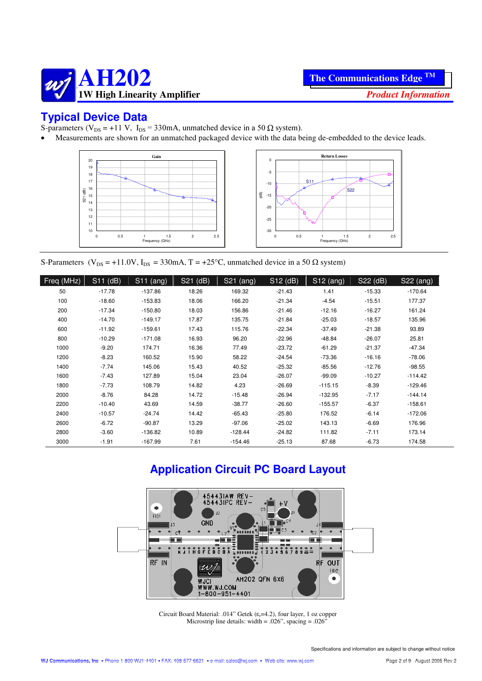

# **Typical Device Data**

S-parameters ( $V_{DS}$  = +11 V, I<sub>DS</sub> = 330mA, unmatched device in a 50  $\Omega$  system).

Measurements are shown for an unmatched packaged device with the data being de-embedded to the device leads.





S-Parameters ( $V_{DS} = +11.0V$ ,  $I_{DS} = 330mA$ , T = +25°C, unmatched device in a 50  $\Omega$  system)

| Freq (MHz) | S11 (dB) | $\overline{\text{S11}}$ (ang) | S21 (dB) | S21 (ang) | S12 (dB) | $S12$ (ang) | S22 (dB) | S22 (ang) |
|------------|----------|-------------------------------|----------|-----------|----------|-------------|----------|-----------|
| 50         | $-17.78$ | $-137.86$                     | 18.26    | 169.32    | $-21.43$ | 1.41        | $-15.33$ | $-170.64$ |
| 100        | $-18.60$ | $-153.83$                     | 18.06    | 166.20    | $-21.34$ | $-4.54$     | $-15.51$ | 177.37    |
| 200        | $-17.34$ | $-150.80$                     | 18.03    | 156.86    | $-21.46$ | $-12.16$    | $-16.27$ | 161.24    |
| 400        | $-14.70$ | $-149.17$                     | 17.87    | 135.75    | $-21.84$ | $-25.03$    | $-18.57$ | 135.96    |
| 600        | $-11.92$ | $-159.61$                     | 17.43    | 115.76    | $-22.34$ | $-37.49$    | $-21.38$ | 93.89     |
| 800        | $-10.29$ | $-171.08$                     | 16.93    | 96.20     | $-22.96$ | $-48.84$    | $-26.07$ | 25.81     |
| 1000       | $-9.20$  | 174.71                        | 16.36    | 77.49     | $-23.72$ | $-61.29$    | $-21.37$ | $-47.34$  |
| 1200       | $-8.23$  | 160.52                        | 15.90    | 58.22     | $-24.54$ | $-73.36$    | $-16.16$ | $-78.06$  |
| 1400       | $-7.74$  | 145.06                        | 15.43    | 40.52     | $-25.32$ | $-85.56$    | $-12.76$ | $-98.55$  |
| 1600       | $-7.43$  | 127.89                        | 15.04    | 23.04     | $-26.07$ | $-99.09$    | $-10.27$ | $-114.42$ |
| 1800       | $-7.73$  | 108.79                        | 14.82    | 4.23      | $-26.69$ | $-115.15$   | $-8.39$  | $-129.46$ |
| 2000       | $-8.76$  | 84.28                         | 14.72    | $-15.48$  | $-26.94$ | $-132.95$   | $-7.17$  | $-144.14$ |
| 2200       | $-10.40$ | 43.69                         | 14.59    | $-38.77$  | $-26.60$ | $-155.57$   | $-6.37$  | $-158.61$ |
| 2400       | $-10.57$ | $-24.74$                      | 14.42    | $-65.43$  | $-25.80$ | 176.52      | $-6.14$  | $-172.06$ |
| 2600       | $-6.72$  | $-90.87$                      | 13.29    | $-97.06$  | $-25.02$ | 143.13      | $-6.69$  | 176.96    |
| 2800       | $-3.60$  | $-136.82$                     | 10.89    | $-128.44$ | $-24.82$ | 111.82      | $-7.11$  | 173.14    |
| 3000       | $-1.91$  | $-167.99$                     | 7.61     | $-154.46$ | $-25.13$ | 87.68       | $-6.73$  | 174.58    |

# **Application Circuit PC Board Layout**



Circuit Board Material: .014" Getek ( $\varepsilon$ <sub>r</sub>=4.2), four layer, 1 oz copper Microstrip line details: width = .026", spacing = .026"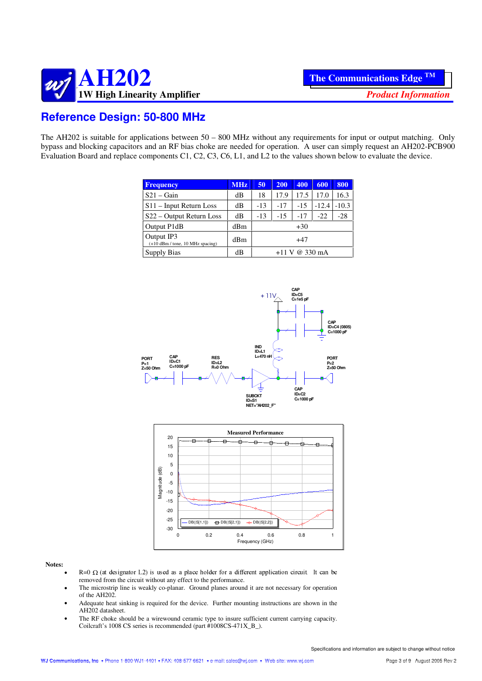

# **Reference Design: 50-800 MHz**

The AH202 is suitable for applications between 50 – 800 MHz without any requirements for input or output matching. Only bypass and blocking capacitors and an RF bias choke are needed for operation. A user can simply request an AH202-PCB900 Evaluation Board and replace components C1, C2, C3, C6, L1, and L2 to the values shown below to evaluate the device.

| <b>Frequency</b>                                 | <b>MHz</b> | 50    | 200   | 400              | 600     | 800     |
|--------------------------------------------------|------------|-------|-------|------------------|---------|---------|
| $S21 - Gain$                                     | dB         | 18    | 17.9  | 17.5             | 17.0    | 16.3    |
| $S11$ – Input Return Loss                        | dВ         | $-13$ | $-17$ | $-15$            | $-12.4$ | $-10.3$ |
| S22 – Output Return Loss                         | dВ         | -13   | $-15$ | $-17$            | $-22$   | $-28$   |
| Output P1dB                                      | dBm        |       |       | $+30$            |         |         |
| Output IP3<br>$(+10$ dBm / tone, 10 MHz spacing) | dBm        | $+47$ |       |                  |         |         |
| <b>Supply Bias</b>                               | dВ         |       |       | $+11$ V @ 330 mA |         |         |





#### **Notes:**

- R=0  $\Omega$  (at designator L2) is used as a place holder for a different application circuit. It can be removed from the circuit without any effect to the performance.
- The microstrip line is weakly co-planar. Ground planes around it are not necessary for operation of the AH202.
- Adequate heat sinking is required for the device. Further mounting instructions are shown in the AH202 datasheet.
- The RF choke should be a wirewound ceramic type to insure sufficient current carrying capacity. Coilcraft's 1008 CS series is recommended (part #1008CS-471X\_B\_).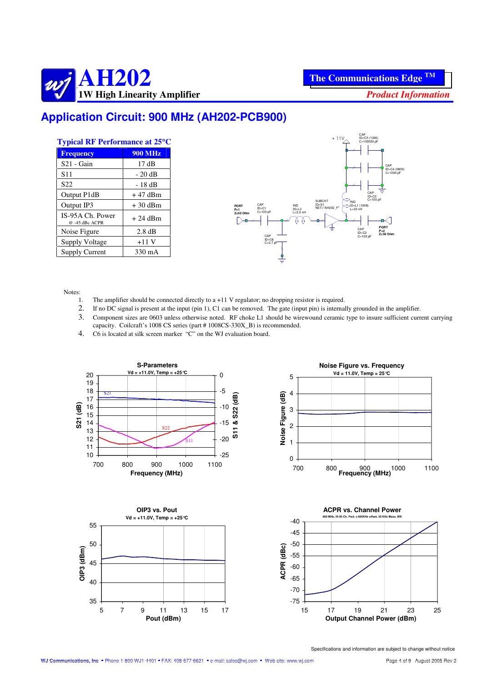

# **Application Circuit: 900 MHz (AH202-PCB900)**

| <b>Typical RF Performance at 25°C</b> |                  |  |  |
|---------------------------------------|------------------|--|--|
| <b>Frequency</b>                      | <b>900 MHz</b>   |  |  |
| $S21 - Gain$                          | 17dB             |  |  |
| S <sub>11</sub>                       | $-20dB$          |  |  |
| S <sub>22</sub>                       | - 18 dB          |  |  |
| Output P1dB                           | $+47$ dBm        |  |  |
| Output IP3                            | $+30$ dBm        |  |  |
| IS-95A Ch. Power<br>@ -45 dBc ACPR    | $+24$ dBm        |  |  |
| Noise Figure                          | $2.8 \text{ dB}$ |  |  |
| <b>Supply Voltage</b>                 | $+11V$           |  |  |
| Supply Current                        | 330 mA           |  |  |



Notes:

- 1. The amplifier should be connected directly to a +11 V regulator; no dropping resistor is required.
- 2. If no DC signal is present at the input (pin 1), C1 can be removed. The gate (input pin) is internally grounded in the amplifier.
- 3. Component sizes are 0603 unless otherwise noted. RF choke L1 should be wirewound ceramic type to insure sufficient current carrying capacity. Coilcraft's 1008 CS series (part # 1008CS-330X\_B) is recommended.
- 4. C6 is located at silk screen marker "C" on the WJ evaluation board.







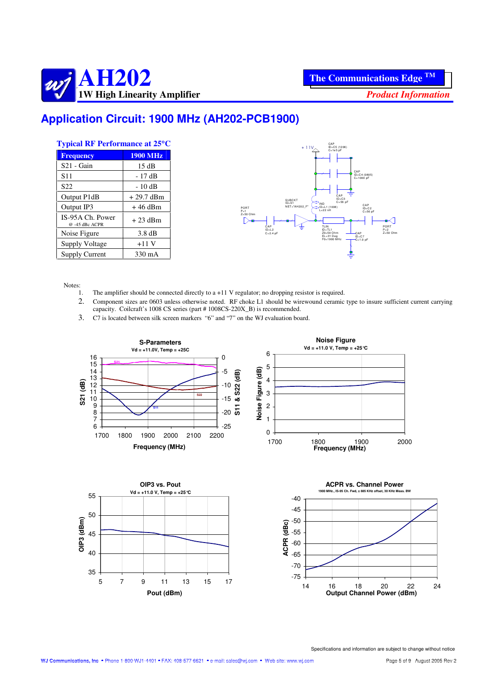

# **Application Circuit: 1900 MHz (AH202-PCB1900)**

| <b>Typical RF Performance at 25°C</b> |                  |  |
|---------------------------------------|------------------|--|
| <b>Frequency</b>                      | <b>1900 MHz</b>  |  |
| $S21 - Gain$                          | 15dB             |  |
| S <sub>11</sub>                       | - 17 dB          |  |
| S22                                   | $-10dB$          |  |
| Output P1dB                           | $+29.7$ dBm      |  |
| Output IP3                            | $+46$ dBm        |  |
| IS-95A Ch. Power<br>@ -45 dBc ACPR    | + 23 dBm         |  |
| Noise Figure                          | $3.8 \text{ dB}$ |  |
| <b>Supply Voltage</b>                 | $+11V$           |  |
| <b>Supply Current</b>                 | 330 mA           |  |



Notes:

- 1. The amplifier should be connected directly to a +11 V regulator; no dropping resistor is required.
- 2. Component sizes are 0603 unless otherwise noted. RF choke L1 should be wirewound ceramic type to insure sufficient current carrying capacity. Coilcraft's 1008 CS series (part # 1008CS-220X\_B) is recommended.
- 3. C7 is located between silk screen markers "6" and "7" on the WJ evaluation board.





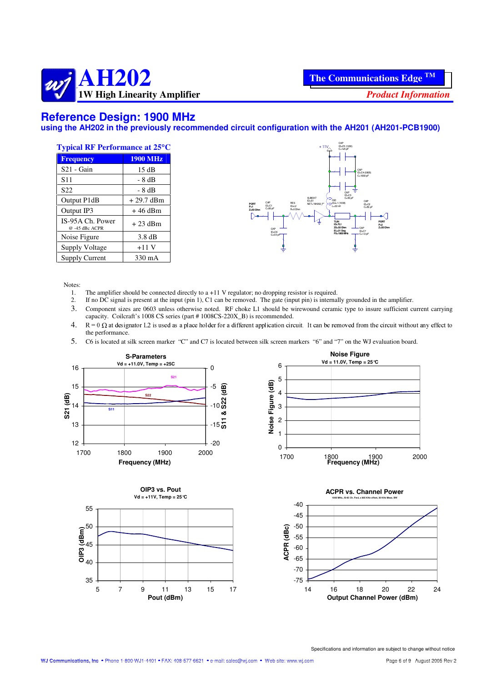

#### **Reference Design: 1900 MHz**

**using the AH202 in the previously recommended circuit configuration with the AH201 (AH201-PCB1900)**

| <b>Typical RF Performance at 25°C</b> |                  |  |
|---------------------------------------|------------------|--|
| <b>Frequency</b>                      | <b>1900 MHz</b>  |  |
| $S21 - Gain$                          | 15dB             |  |
| S <sub>11</sub>                       | - 8 dB           |  |
| S <sub>22</sub>                       | - 8 dB           |  |
| Output P1dB                           | $+29.7$ dBm      |  |
| Output IP3                            | $+46$ dBm        |  |
| IS-95A Ch. Power<br>@ -45 dBc ACPR    | $+23$ dBm        |  |
| Noise Figure                          | $3.8 \text{ dB}$ |  |
| Supply Voltage                        | $+11V$           |  |
| <b>Supply Current</b>                 | 330 mA           |  |



#### Notes:

- 1. The amplifier should be connected directly to  $a + 11$  V regulator; no dropping resistor is required.<br>2. If no DC signal is present at the input (pin 1), C1 can be removed. The gate (input pin) is internal
- 2. If no DC signal is present at the input (pin 1), C1 can be removed. The gate (input pin) is internally grounded in the amplifier.
- 3. Component sizes are 0603 unless otherwise noted. RF choke L1 should be wirewound ceramic type to insure sufficient current carrying capacity. Coilcraft's 1008 CS series (part # 1008CS-220X\_B) is recommended.
- 4.  $R = 0 \Omega$  at designator L2 is used as a place holder for a different application circuit. It can be removed from the circuit without any effect to the performance.
- 5. C6 is located at silk screen marker "C" and C7 is located between silk screen markers "6" and "7" on the WJ evaluation board.







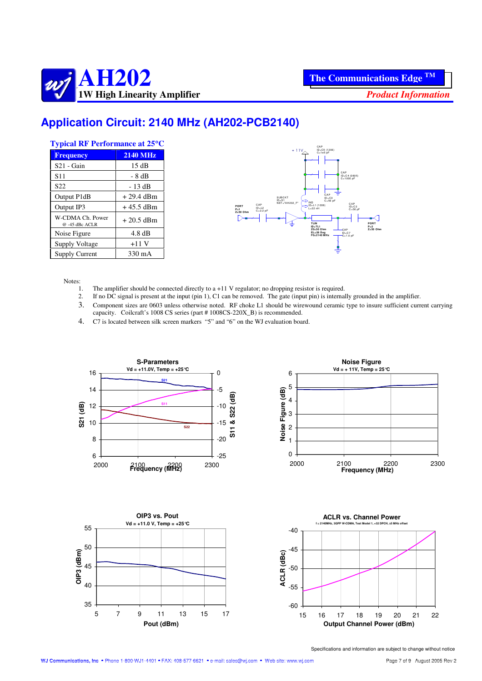

# **Application Circuit: 2140 MHz (AH202-PCB2140)**

| <b>Typical RF Performance at 25°C</b> |                  |  |  |
|---------------------------------------|------------------|--|--|
| <b>Frequency</b>                      | <b>2140 MHz</b>  |  |  |
| $S21 - Gain$                          | 15 dB            |  |  |
| S <sub>11</sub>                       | $-8 dB$          |  |  |
| S <sub>22</sub>                       | - 13 dB          |  |  |
| Output P1dB                           | $+29.4$ dBm      |  |  |
| Output IP3                            | $+45.5$ dBm      |  |  |
| W-CDMA Ch. Power<br>$@ -45$ dBc ACLR  | $+20.5$ dBm      |  |  |
| Noise Figure                          | $4.8 \text{ dB}$ |  |  |
| Supply Voltage                        | $+11V$           |  |  |
| Supply Current                        | 330 mA           |  |  |



Notes:

- 1. The amplifier should be connected directly to a +11 V regulator; no dropping resistor is required.<br>2. If no DC signal is present at the input (pin 1). C1 can be removed. The gate (input pin) is internal
- 2. If no DC signal is present at the input (pin 1), C1 can be removed. The gate (input pin) is internally grounded in the amplifier. 3. Component sizes are 0603 unless otherwise noted. RF choke L1 should be wirewound ceramic type to insure sufficient current carrying capacity. Coilcraft's 1008 CS series (part # 1008CS-220X\_B) is recommended.
- 4. C7 is located between silk screen markers "5" and "6" on the WJ evaluation board.







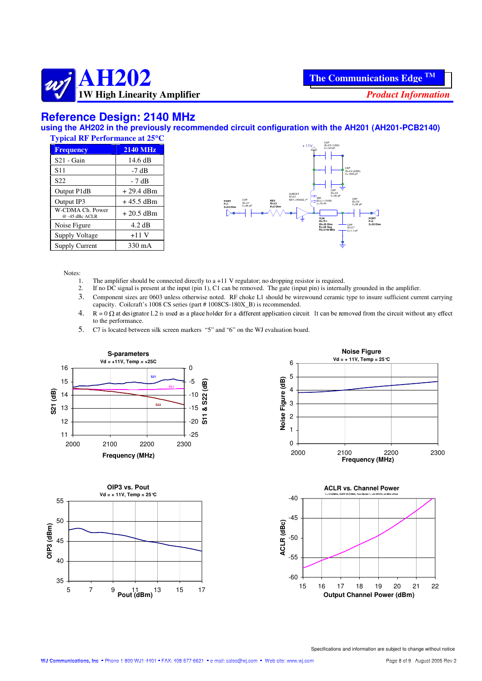

#### **Reference Design: 2140 MHz**

**using the AH202 in the previously recommended circuit configuration with the AH201 (AH201-PCB2140)**

| <b>Typical RF Performance at 25°C</b> |                  |  |
|---------------------------------------|------------------|--|
| <b>Frequency</b>                      | <b>2140 MHz</b>  |  |
| $S21 - Gain$                          | 14.6 dB          |  |
| S <sub>11</sub>                       | -7 dB            |  |
| S22                                   | - 7 dB           |  |
| Output P1dB                           | $+29.4$ dBm      |  |
| Output IP3                            | $+45.5$ dBm      |  |
| W-CDMA Ch. Power<br>@-45 dBc ACLR     | $+20.5$ dBm      |  |
| Noise Figure                          | $4.2 \text{ dB}$ |  |
| Supply Voltage                        | $+11V$           |  |
| <b>Supply Current</b>                 | 330 mA           |  |



Notes:

- 1. The amplifier should be connected directly to a +11 V regulator; no dropping resistor is required.<br>2. If no DC signal is present at the input (pin 1), C1 can be removed. The gate (input pin) is internal
- 2. If no DC signal is present at the input (pin 1), C1 can be removed. The gate (input pin) is internally grounded in the amplifier.
- 3. Component sizes are 0603 unless otherwise noted. RF choke L1 should be wirewound ceramic type to insure sufficient current carrying capacity. Coilcraft's 1008 CS series (part # 1008CS-180X\_B) is recommended.
- 4.  $R = 0 \Omega$  at designator L2 is used as a place holder for a different application circuit. It can be removed from the circuit without any effect to the performance.
- 5. C7 is located between silk screen markers "5" and "6" on the WJ evaluation board.